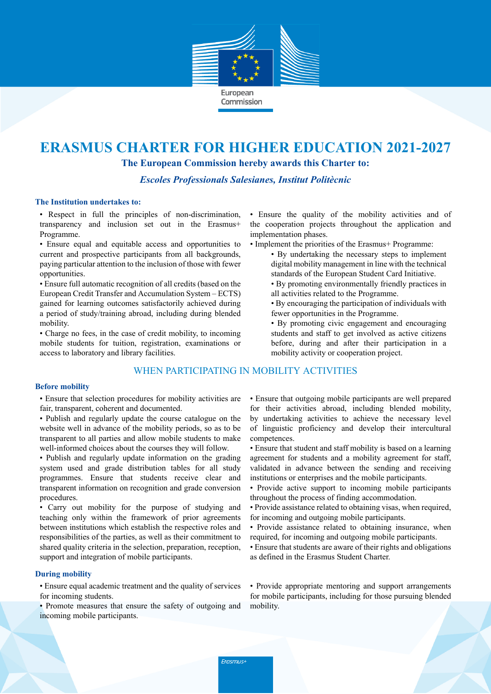

# **ERASMUS CHARTER FOR HIGHER EDUCATION 2021-2027**

**The European Commission hereby awards this Charter to:**

*Escoles Professionals Salesianes, Institut Politècnic*

#### **The Institution undertakes to:**

• Respect in full the principles of non-discrimination, transparency and inclusion set out in the Erasmus+ Programme.

• Ensure equal and equitable access and opportunities to current and prospective participants from all backgrounds, paying particular attention to the inclusion of those with fewer opportunities.

• Ensure full automatic recognition of all credits (based on the European Credit Transfer and Accumulation System – ECTS) gained for learning outcomes satisfactorily achieved during a period of study/training abroad, including during blended mobility.

• Charge no fees, in the case of credit mobility, to incoming mobile students for tuition, registration, examinations or access to laboratory and library facilities.

# WHEN PARTICIPATING IN MOBILITY ACTIVITIES

### **Before mobility**

• Ensure that selection procedures for mobility activities are fair, transparent, coherent and documented.

- Publish and regularly update the course catalogue on the website well in advance of the mobility periods, so as to be transparent to all parties and allow mobile students to make well-informed choices about the courses they will follow.
- Publish and regularly update information on the grading system used and grade distribution tables for all study programmes. Ensure that students receive clear and transparent information on recognition and grade conversion procedures.

• Carry out mobility for the purpose of studying and teaching only within the framework of prior agreements between institutions which establish the respective roles and responsibilities of the parties, as well as their commitment to shared quality criteria in the selection, preparation, reception, support and integration of mobile participants.

## **During mobility**

• Ensure equal academic treatment and the quality of services for incoming students.

• Promote measures that ensure the safety of outgoing and incoming mobile participants.

• Ensure the quality of the mobility activities and of the cooperation projects throughout the application and implementation phases.

- Implement the priorities of the Erasmus+ Programme:
	- By undertaking the necessary steps to implement digital mobility management in line with the technical standards of the European Student Card Initiative.
	- By promoting environmentally friendly practices in all activities related to the Programme.
	- By encouraging the participation of individuals with fewer opportunities in the Programme.
	- By promoting civic engagement and encouraging students and staff to get involved as active citizens before, during and after their participation in a mobility activity or cooperation project.

• Ensure that outgoing mobile participants are well prepared for their activities abroad, including blended mobility, by undertaking activities to achieve the necessary level of linguistic proficiency and develop their intercultural competences.

- Ensure that student and staff mobility is based on a learning agreement for students and a mobility agreement for staff, validated in advance between the sending and receiving institutions or enterprises and the mobile participants.
- Provide active support to incoming mobile participants throughout the process of finding accommodation.
- Provide assistance related to obtaining visas, when required, for incoming and outgoing mobile participants.
- Provide assistance related to obtaining insurance, when required, for incoming and outgoing mobile participants.
- Ensure that students are aware of their rights and obligations as defined in the Erasmus Student Charter.

• Provide appropriate mentoring and support arrangements for mobile participants, including for those pursuing blended mobility.

Erasmus+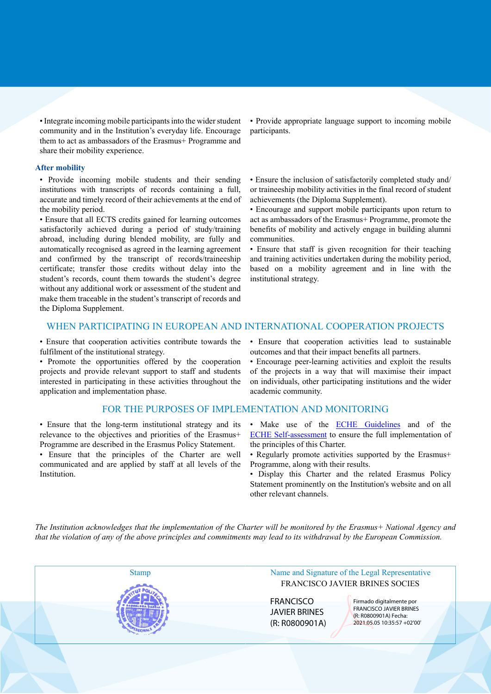• Integrate incoming mobile participants into the wider student community and in the Institution's everyday life. Encourage them to act as ambassadors of the Erasmus+ Programme and share their mobility experience.

#### **After mobility**

• Provide incoming mobile students and their sending institutions with transcripts of records containing a full, accurate and timely record of their achievements at the end of the mobility period.

• Ensure that all ECTS credits gained for learning outcomes satisfactorily achieved during a period of study/training abroad, including during blended mobility, are fully and automatically recognised as agreed in the learning agreement and confirmed by the transcript of records/traineeship certificate; transfer those credits without delay into the student's records, count them towards the student's degree without any additional work or assessment of the student and make them traceable in the student's transcript of records and the Diploma Supplement.

• Provide appropriate language support to incoming mobile participants.

• Ensure the inclusion of satisfactorily completed study and/ or traineeship mobility activities in the final record of student achievements (the Diploma Supplement).

• Encourage and support mobile participants upon return to act as ambassadors of the Erasmus+ Programme, promote the benefits of mobility and actively engage in building alumni communities.

• Ensure that staff is given recognition for their teaching and training activities undertaken during the mobility period, based on a mobility agreement and in line with the institutional strategy.

### WHEN PARTICIPATING IN EUROPEAN AND INTERNATIONAL COOPERATION PROJECTS

• Ensure that cooperation activities contribute towards the fulfilment of the institutional strategy.

• Promote the opportunities offered by the cooperation projects and provide relevant support to staff and students interested in participating in these activities throughout the application and implementation phase.

#### FOR THE PURPOSES OF IMPLEMENTATION AND MONITORING

• Ensure that the long-term institutional strategy and its relevance to the objectives and priorities of the Erasmus+ Programme are described in the Erasmus Policy Statement.

• Ensure that the principles of the Charter are well communicated and are applied by staff at all levels of the Institution.

• Ensure that cooperation activities lead to sustainable outcomes and that their impact benefits all partners.

• Encourage peer-learning activities and exploit the results of the projects in a way that will maximise their impact on individuals, other participating institutions and the wider academic community.

- Make use of the **ECHE Guidelines** and of the ECHE Self-assessment to ensure the full implementation of the principles of this Charter.
- Regularly promote activities supported by the Erasmus+ Programme, along with their results.
- Display this Charter and the related Erasmus Policy Statement prominently on the Institution's website and on all other relevant channels.

*The Institution acknowledges that the implementation of the Charter will be monitored by the Erasmus+ National Agency and that the violation of any of the above principles and commitments may lead to its withdrawal by the European Commission.*

Stamp Name and Signature of the Legal Representative FRANCISCO JAVIER BRINES SOCIES **FRANCISCO** JAVIER BRINES (R: R0800901A) Firmado digitalmente por FRANCISCO JAVIER BRINES (R: R0800901A) Fecha: 2021.05.05 10:35:57 +02'00'